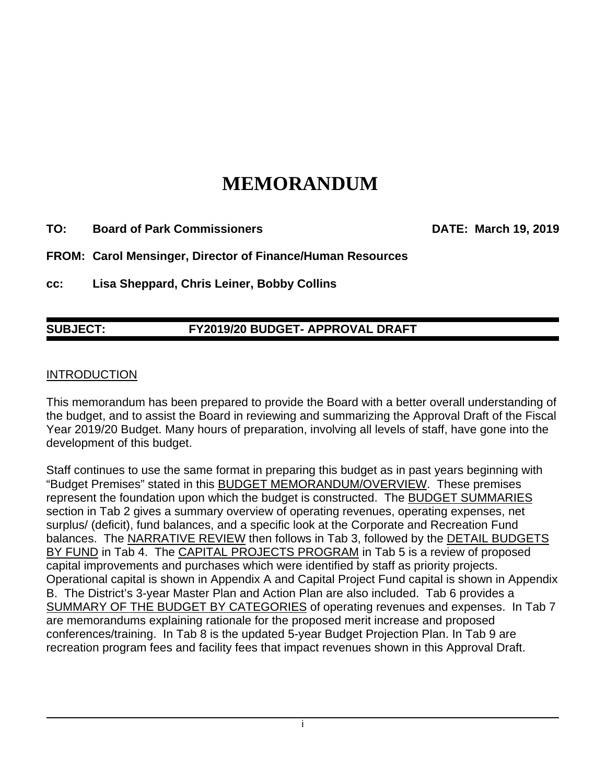# **MEMORANDUM**

**TO: Board of Park Commissioners DATE: March 19, 2019** 

**FROM: Carol Mensinger, Director of Finance/Human Resources** 

**cc: Lisa Sheppard, Chris Leiner, Bobby Collins** 

## **SUBJECT: FY2019/20 BUDGET- APPROVAL DRAFT**

#### INTRODUCTION

This memorandum has been prepared to provide the Board with a better overall understanding of the budget, and to assist the Board in reviewing and summarizing the Approval Draft of the Fiscal Year 2019/20 Budget. Many hours of preparation, involving all levels of staff, have gone into the development of this budget.

Staff continues to use the same format in preparing this budget as in past years beginning with "Budget Premises" stated in this BUDGET MEMORANDUM/OVERVIEW. These premises represent the foundation upon which the budget is constructed. The BUDGET SUMMARIES section in Tab 2 gives a summary overview of operating revenues, operating expenses, net surplus/ (deficit), fund balances, and a specific look at the Corporate and Recreation Fund balances. The NARRATIVE REVIEW then follows in Tab 3, followed by the DETAIL BUDGETS BY FUND in Tab 4. The CAPITAL PROJECTS PROGRAM in Tab 5 is a review of proposed capital improvements and purchases which were identified by staff as priority projects. Operational capital is shown in Appendix A and Capital Project Fund capital is shown in Appendix B. The District's 3-year Master Plan and Action Plan are also included. Tab 6 provides a SUMMARY OF THE BUDGET BY CATEGORIES of operating revenues and expenses. In Tab 7 are memorandums explaining rationale for the proposed merit increase and proposed conferences/training. In Tab 8 is the updated 5-year Budget Projection Plan. In Tab 9 are recreation program fees and facility fees that impact revenues shown in this Approval Draft.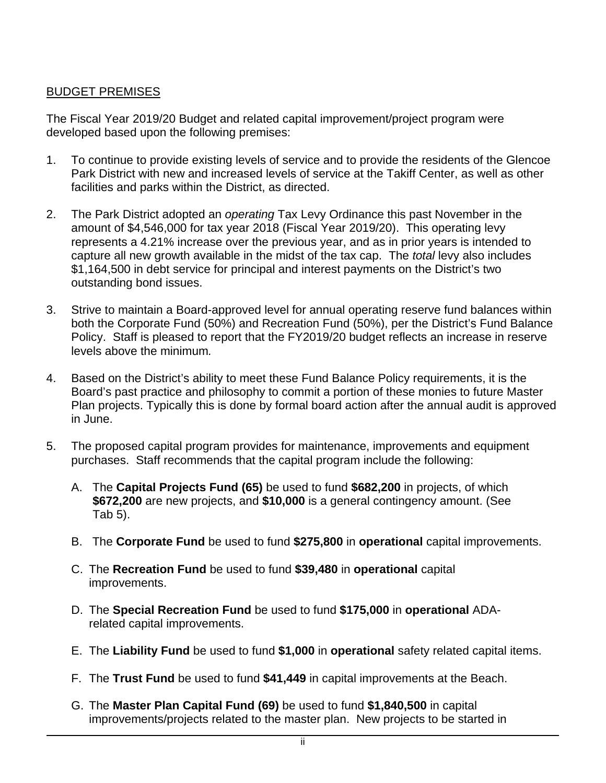### BUDGET PREMISES

The Fiscal Year 2019/20 Budget and related capital improvement/project program were developed based upon the following premises:

- 1. To continue to provide existing levels of service and to provide the residents of the Glencoe Park District with new and increased levels of service at the Takiff Center, as well as other facilities and parks within the District, as directed.
- 2. The Park District adopted an *operating* Tax Levy Ordinance this past November in the amount of \$4,546,000 for tax year 2018 (Fiscal Year 2019/20). This operating levy represents a 4.21% increase over the previous year, and as in prior years is intended to capture all new growth available in the midst of the tax cap. The *total* levy also includes \$1,164,500 in debt service for principal and interest payments on the District's two outstanding bond issues.
- 3. Strive to maintain a Board-approved level for annual operating reserve fund balances within both the Corporate Fund (50%) and Recreation Fund (50%), per the District's Fund Balance Policy. Staff is pleased to report that the FY2019/20 budget reflects an increase in reserve levels above the minimum*.*
- 4. Based on the District's ability to meet these Fund Balance Policy requirements, it is the Board's past practice and philosophy to commit a portion of these monies to future Master Plan projects. Typically this is done by formal board action after the annual audit is approved in June.
- 5. The proposed capital program provides for maintenance, improvements and equipment purchases. Staff recommends that the capital program include the following:
	- A. The **Capital Projects Fund (65)** be used to fund **\$682,200** in projects, of which **\$672,200** are new projects, and **\$10,000** is a general contingency amount. (See Tab 5).
	- B. The **Corporate Fund** be used to fund **\$275,800** in **operational** capital improvements.
	- C. The **Recreation Fund** be used to fund **\$39,480** in **operational** capital improvements.
	- D. The **Special Recreation Fund** be used to fund **\$175,000** in **operational** ADArelated capital improvements.
	- E. The **Liability Fund** be used to fund **\$1,000** in **operational** safety related capital items.
	- F. The **Trust Fund** be used to fund **\$41,449** in capital improvements at the Beach.
	- G. The **Master Plan Capital Fund (69)** be used to fund **\$1,840,500** in capital improvements/projects related to the master plan. New projects to be started in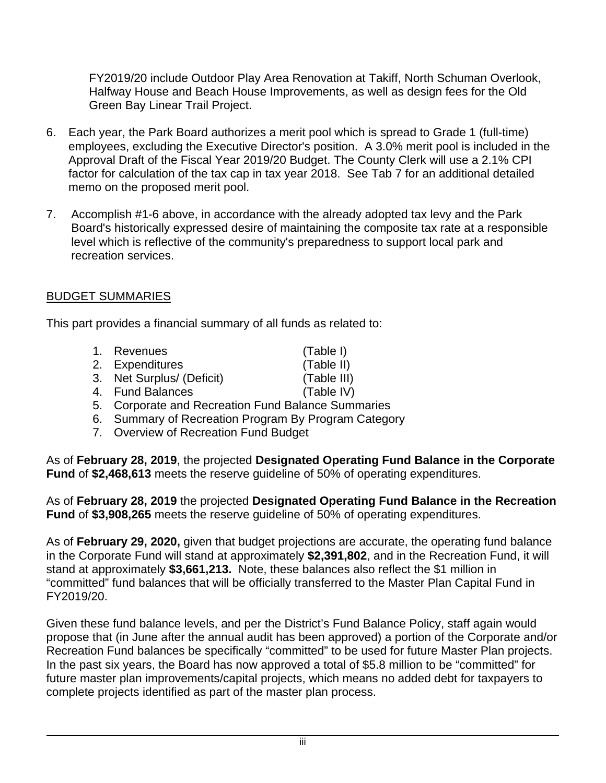FY2019/20 include Outdoor Play Area Renovation at Takiff, North Schuman Overlook, Halfway House and Beach House Improvements, as well as design fees for the Old Green Bay Linear Trail Project.

- 6. Each year, the Park Board authorizes a merit pool which is spread to Grade 1 (full-time) employees, excluding the Executive Director's position. A 3.0% merit pool is included in the Approval Draft of the Fiscal Year 2019/20 Budget. The County Clerk will use a 2.1% CPI factor for calculation of the tax cap in tax year 2018. See Tab 7 for an additional detailed memo on the proposed merit pool.
- 7. Accomplish #1-6 above, in accordance with the already adopted tax levy and the Park Board's historically expressed desire of maintaining the composite tax rate at a responsible level which is reflective of the community's preparedness to support local park and recreation services.

## BUDGET SUMMARIES

This part provides a financial summary of all funds as related to:

- 1. Revenues (Table I)
- 2. Expenditures (Table II)
- 3. Net Surplus/ (Deficit) (Table III)
- 4. Fund Balances (Table IV)
- 5. Corporate and Recreation Fund Balance Summaries
- 6. Summary of Recreation Program By Program Category
- 7. Overview of Recreation Fund Budget

As of **February 28, 2019**, the projected **Designated Operating Fund Balance in the Corporate Fund** of **\$2,468,613** meets the reserve guideline of 50% of operating expenditures.

As of **February 28, 2019** the projected **Designated Operating Fund Balance in the Recreation Fund** of **\$3,908,265** meets the reserve guideline of 50% of operating expenditures.

As of **February 29, 2020,** given that budget projections are accurate, the operating fund balance in the Corporate Fund will stand at approximately **\$2,391,802**, and in the Recreation Fund, it will stand at approximately **\$3,661,213.** Note, these balances also reflect the \$1 million in "committed" fund balances that will be officially transferred to the Master Plan Capital Fund in FY2019/20.

Given these fund balance levels, and per the District's Fund Balance Policy, staff again would propose that (in June after the annual audit has been approved) a portion of the Corporate and/or Recreation Fund balances be specifically "committed" to be used for future Master Plan projects. In the past six years, the Board has now approved a total of \$5.8 million to be "committed" for future master plan improvements/capital projects, which means no added debt for taxpayers to complete projects identified as part of the master plan process.